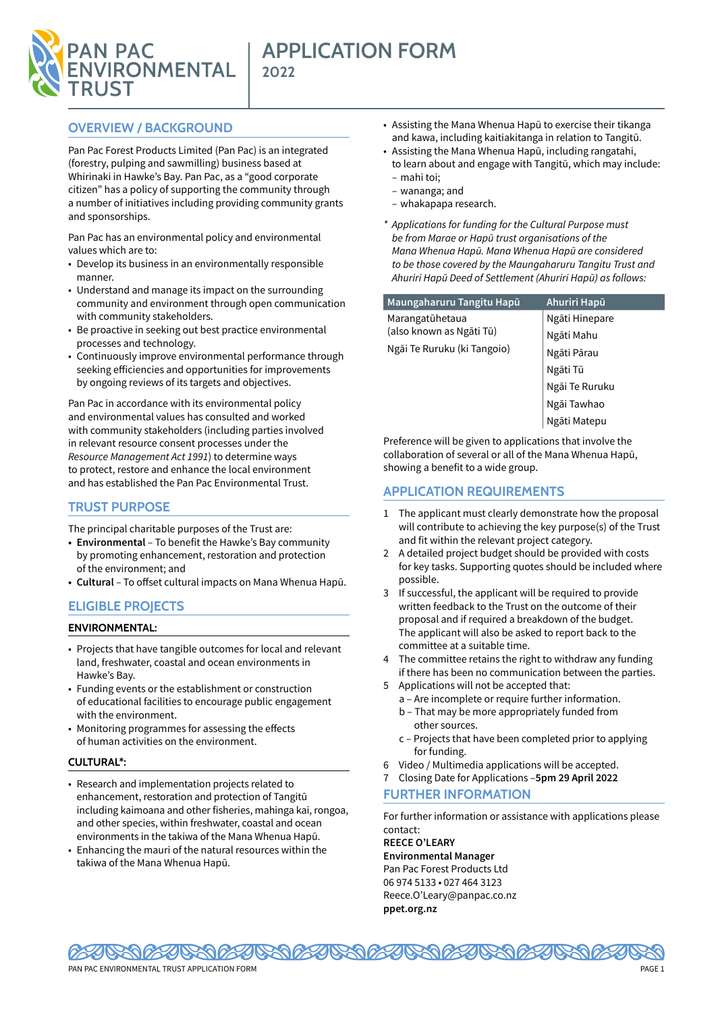

# **APPLICATION FORM 2022**

# **OVERVIEW / BACKGROUND**

Pan Pac Forest Products Limited (Pan Pac) is an integrated (forestry, pulping and sawmilling) business based at Whirinaki in Hawke's Bay. Pan Pac, as a "good corporate citizen" has a policy of supporting the community through a number of initiatives including providing community grants and sponsorships.

Pan Pac has an environmental policy and environmental values which are to:

- Develop its business in an environmentally responsible manner.
- Understand and manage its impact on the surrounding community and environment through open communication with community stakeholders.
- Be proactive in seeking out best practice environmental processes and technology.
- Continuously improve environmental performance through seeking efficiencies and opportunities for improvements by ongoing reviews of its targets and objectives.

Pan Pac in accordance with its environmental policy and environmental values has consulted and worked with community stakeholders (including parties involved in relevant resource consent processes under the *Resource Management Act 1991*) to determine ways to protect, restore and enhance the local environment and has established the Pan Pac Environmental Trust.

# **TRUST PURPOSE**

- The principal charitable purposes of the Trust are:
- **• Environmental**  To benefit the Hawke's Bay community by promoting enhancement, restoration and protection of the environment; and
- **• Cultural** To offset cultural impacts on Mana Whenua Hapū.

# **ELIGIBLE PROJECTS**

#### **ENVIRONMENTAL:**

- Projects that have tangible outcomes for local and relevant land, freshwater, coastal and ocean environments in Hawke's Bay.
- Funding events or the establishment or construction of educational facilities to encourage public engagement with the environment.
- Monitoring programmes for assessing the effects of human activities on the environment.

#### **CULTURAL\*:**

- Research and implementation projects related to enhancement, restoration and protection of Tangitū including kaimoana and other fisheries, mahinga kai, rongoa, and other species, within freshwater, coastal and ocean environments in the takiwa of the Mana Whenua Hapū.
- Enhancing the mauri of the natural resources within the takiwa of the Mana Whenua Hapū.
- Assisting the Mana Whenua Hapū to exercise their tikanga and kawa, including kaitiakitanga in relation to Tangitū.
- Assisting the Mana Whenua Hapū, including rangatahi, to learn about and engage with Tangitū, which may include:
	- mahi toi;
	- wananga; and – whakapapa research.
- *\* Applications for funding for the Cultural Purpose must be from Marae or Hapū trust organisations of the Mana Whenua Hapū. Mana Whenua Hapū are considered to be those covered by the Maungaharuru Tangitu Trust and Ahuriri Hapū Deed of Settlement (Ahuriri Hapū) as follows:*

| Maungaharuru Tangitu Hapū                               | Ahuriri Hapū   |
|---------------------------------------------------------|----------------|
| Marangatūhetaua                                         | Ngāti Hinepare |
| (also known as Ngāti Tū)<br>Ngāi Te Ruruku (ki Tangoio) | Ngāti Mahu     |
|                                                         | Ngāti Pārau    |
|                                                         | Ngāti Tū       |
|                                                         | Ngāi Te Ruruku |
|                                                         | Ngāi Tawhao    |
|                                                         | Ngāti Matepu   |

Preference will be given to applications that involve the collaboration of several or all of the Mana Whenua Hapū, showing a benefit to a wide group.

### **APPLICATION REQUIREMENTS**

- 1 The applicant must clearly demonstrate how the proposal will contribute to achieving the key purpose(s) of the Trust and fit within the relevant project category.
- 2 A detailed project budget should be provided with costs for key tasks. Supporting quotes should be included where possible.
- 3 If successful, the applicant will be required to provide written feedback to the Trust on the outcome of their proposal and if required a breakdown of the budget. The applicant will also be asked to report back to the committee at a suitable time.
- 4 The committee retains the right to withdraw any funding if there has been no communication between the parties.
- 5 Applications will not be accepted that:
	- a Are incomplete or require further information.
	- b That may be more appropriately funded from other sources.
	- c Projects that have been completed prior to applying for funding.
- 6 Video / Multimedia applications will be accepted.
- 7 Closing Date for Applications –**5pm 29 April 2022 FURTHER INFORMATION**

For further information or assistance with applications please contact:

**REECE O'LEARY Environmental Manager** Pan Pac Forest Products Ltd 06 974 5133 • 027 464 3123 Reece.O'Leary@panpac.co.nz **ppet.org.nz**

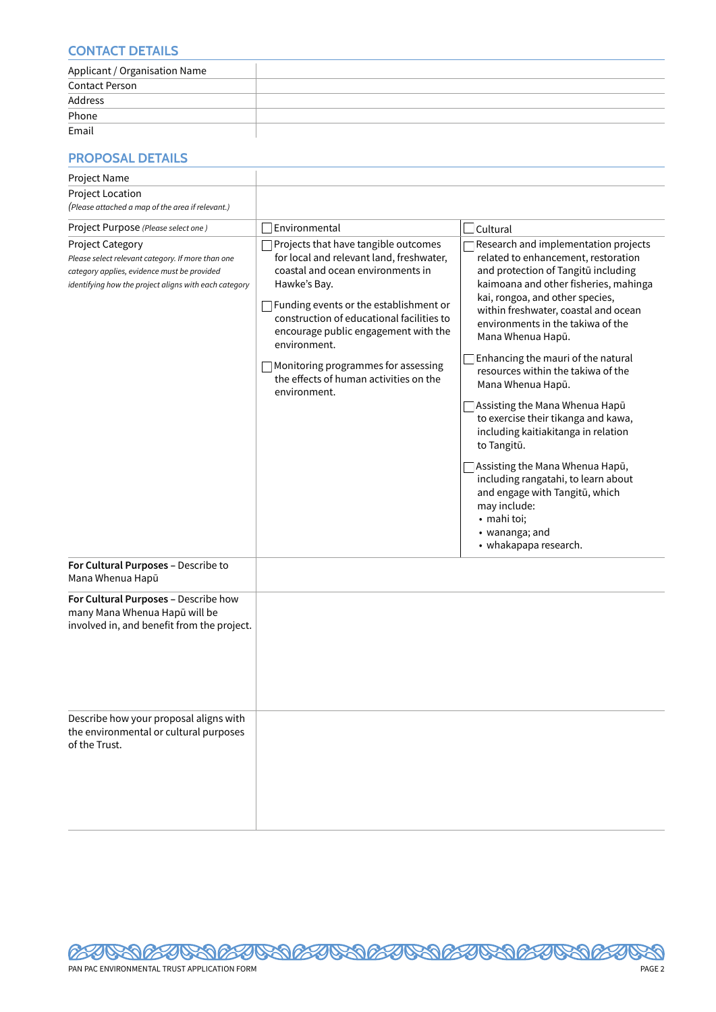### **CONTACT DETAILS**

| Applicant / Organisation Name |  |
|-------------------------------|--|
| <b>Contact Person</b>         |  |
| Address                       |  |
| Phone                         |  |
| Email                         |  |

# **PROPOSAL DETAILS**

| Project Name                                                                                                                                                                         |                                                                                                                                                                                                                                                                                                                                                                                       |                                                                                                                                                                                                                                                                                                                                                                                                                                                                                                                                                                                                                                                                                                                        |
|--------------------------------------------------------------------------------------------------------------------------------------------------------------------------------------|---------------------------------------------------------------------------------------------------------------------------------------------------------------------------------------------------------------------------------------------------------------------------------------------------------------------------------------------------------------------------------------|------------------------------------------------------------------------------------------------------------------------------------------------------------------------------------------------------------------------------------------------------------------------------------------------------------------------------------------------------------------------------------------------------------------------------------------------------------------------------------------------------------------------------------------------------------------------------------------------------------------------------------------------------------------------------------------------------------------------|
| Project Location                                                                                                                                                                     |                                                                                                                                                                                                                                                                                                                                                                                       |                                                                                                                                                                                                                                                                                                                                                                                                                                                                                                                                                                                                                                                                                                                        |
| (Please attached a map of the area if relevant.)                                                                                                                                     |                                                                                                                                                                                                                                                                                                                                                                                       |                                                                                                                                                                                                                                                                                                                                                                                                                                                                                                                                                                                                                                                                                                                        |
| Project Purpose (Please select one)                                                                                                                                                  | Environmental                                                                                                                                                                                                                                                                                                                                                                         | Cultural                                                                                                                                                                                                                                                                                                                                                                                                                                                                                                                                                                                                                                                                                                               |
| <b>Project Category</b><br>Please select relevant category. If more than one<br>category applies, evidence must be provided<br>identifying how the project aligns with each category | Projects that have tangible outcomes<br>for local and relevant land, freshwater,<br>coastal and ocean environments in<br>Hawke's Bay.<br>Funding events or the establishment or<br>construction of educational facilities to<br>encourage public engagement with the<br>environment.<br>Monitoring programmes for assessing<br>the effects of human activities on the<br>environment. | Research and implementation projects<br>related to enhancement, restoration<br>and protection of Tangitū including<br>kaimoana and other fisheries, mahinga<br>kai, rongoa, and other species,<br>within freshwater, coastal and ocean<br>environments in the takiwa of the<br>Mana Whenua Hapū.<br>Enhancing the mauri of the natural<br>resources within the takiwa of the<br>Mana Whenua Hapū.<br>Assisting the Mana Whenua Hapū<br>to exercise their tikanga and kawa,<br>including kaitiakitanga in relation<br>to Tangitū.<br>Assisting the Mana Whenua Hapū,<br>including rangatahi, to learn about<br>and engage with Tangitū, which<br>may include:<br>• mahi toi;<br>• wananga; and<br>• whakapapa research. |
| For Cultural Purposes - Describe to<br>Mana Whenua Hapū                                                                                                                              |                                                                                                                                                                                                                                                                                                                                                                                       |                                                                                                                                                                                                                                                                                                                                                                                                                                                                                                                                                                                                                                                                                                                        |
| For Cultural Purposes - Describe how<br>many Mana Whenua Hapū will be<br>involved in, and benefit from the project.                                                                  |                                                                                                                                                                                                                                                                                                                                                                                       |                                                                                                                                                                                                                                                                                                                                                                                                                                                                                                                                                                                                                                                                                                                        |
| Describe how your proposal aligns with<br>the environmental or cultural purposes<br>of the Trust.                                                                                    |                                                                                                                                                                                                                                                                                                                                                                                       |                                                                                                                                                                                                                                                                                                                                                                                                                                                                                                                                                                                                                                                                                                                        |

**120**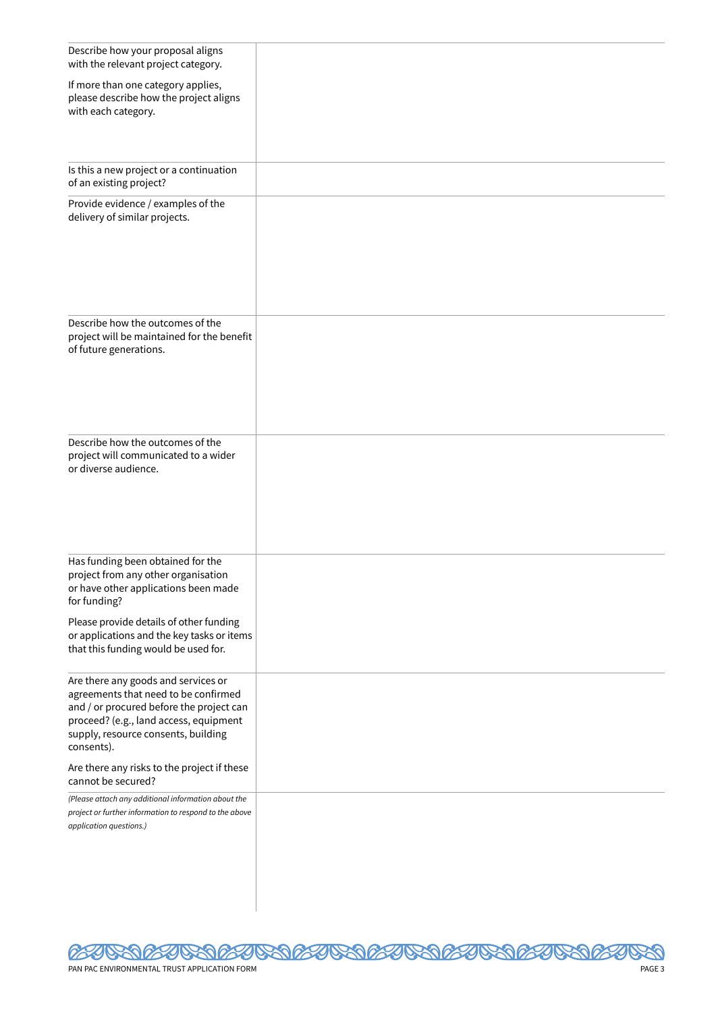| Describe how your proposal aligns<br>with the relevant project category.                                                                                                                                                                                              |  |
|-----------------------------------------------------------------------------------------------------------------------------------------------------------------------------------------------------------------------------------------------------------------------|--|
| If more than one category applies,<br>please describe how the project aligns<br>with each category.                                                                                                                                                                   |  |
| Is this a new project or a continuation<br>of an existing project?                                                                                                                                                                                                    |  |
| Provide evidence / examples of the<br>delivery of similar projects.                                                                                                                                                                                                   |  |
| Describe how the outcomes of the<br>project will be maintained for the benefit<br>of future generations.                                                                                                                                                              |  |
| Describe how the outcomes of the<br>project will communicated to a wider<br>or diverse audience.                                                                                                                                                                      |  |
| Has funding been obtained for the<br>project from any other organisation<br>or have other applications been made<br>for funding?                                                                                                                                      |  |
| Please provide details of other funding<br>or applications and the key tasks or items<br>that this funding would be used for.                                                                                                                                         |  |
| Are there any goods and services or<br>agreements that need to be confirmed<br>and / or procured before the project can<br>proceed? (e.g., land access, equipment<br>supply, resource consents, building<br>consents).<br>Are there any risks to the project if these |  |
| cannot be secured?<br>(Please attach any additional information about the                                                                                                                                                                                             |  |
| project or further information to respond to the above<br>application questions.)                                                                                                                                                                                     |  |